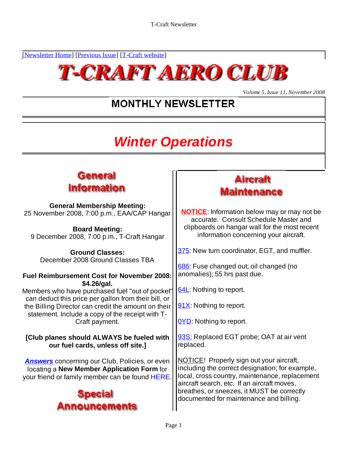[Newsletter Home] [Previous Issue] [T-Craft website]



*Volume 5, Issue 11, November 2008*

# **MONTHLY NEWSLETTER**

# **Winter Operations**

## General **Information**

**General Membership Meeting:**<br>mber 2008, 7:00 p.m., FAA/CAP Hangar | **NOTICE**: Information below may or may not be 25 November 2008, 7:00 p.m., EAA/CAP Hangar

9 December 2008, 7:00 p.m., T-Craft Hangar

December 2008 Ground Classes TBA

### **Fuel Reimbursement Cost for November 2008: \$4.26/gal.**

Members who have purchased fuel "out of pocket"  $\frac{64L}{4}$ . Nothing to report. can deduct this price per gallon from their bill, or the Billing Director can credit the amount on their statement. Include a copy of the receipt with T- Craft payment.  $\sqrt{\frac{OYD}{OY}}$ : Nothing to report. 25 November 2008, 7:00 p.m., EAA/CAP Hangar<br> **Board Meeting:**<br> **Board Meeting:**<br> **Board Meeting:**<br> **Board Meeting:**<br> **Board Meeting:**<br> **Cround Classes:**<br> **Cround Classes TBA**<br> **Cround Classes TBA**<br> **EVEL Reimbursement Cost** 

**[Club planes should ALWAYS be fueled with our fuel cards, unless off site.]**

**Answers** concerning our Club, Policies, or even locating a **New Member Application Form** for





**Board Meeting: Example 20 Clipboards on hangar wall for the most recent** accurate. Consult Schedule Master and information concerning your aircraft.

Ground Classes: **2008** 375: New turn coordinator, EGT, and muffler.

686: Fuse changed out; oil changed (no anomalies); 55 hrs past due.

64L: Nothing to report.

91X: Nothing to report.

<u>OYD</u>: Nothing to report.

93S: Replaced EGT probe; OAT at air vent replaced. The contract of the contract of the contract of the contract of the contract of the contract of the contract of the contract of the contract of the contract of the contract of the contract of the contract of the

NOTICE! Properly sign out your aircraft, including the correct designation; for example, local, cross country, maintenance, replacement aircraft search, etc. If an aircraft moves, breathes, or sneezes, it MUST be correctly documented for maintenance and billing.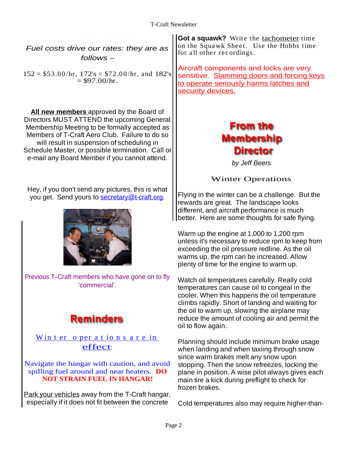Fuel costs drive our rates: they are as  $\left| \begin{array}{c} \text{for an other techniques.} \\ \text{for an other techniques.} \end{array} \right|$ 

**All new members** approved by the Board of Directors MUST ATTEND the upcoming General | Membership Meeting to be formally accepted as  $\begin{array}{ccc} \hline \end{array}$  **From the** Membership Meeting to be formally accepted as Members of T-Craft Aero Club. Failure to do so  $\|\cdot\|$  **Membership** will result in suspension of scheduling in Schedule Master, or possible termination. Call or  $\vert$  **Director** e-mail any Board Member if you cannot attend. || www.postaliany Board Member if you cannot attend. || by Jeff Beers

Hey, if you don't send any pictures, this is what you get. Send yours to secretary@t-craft.org.



Previous T-Craft members who have gone on to fly

 $\frac{\text{W in t er}}{\text{O per a t io n s a r e in}}$ 

Park your vehicles away from the T-Craft hangar, especially if it does not fit between the concrete

on the Squawk Sheet. Use the Hobbs time for all other recordings.

 $152 = $53.00/hr, 172's = $72.00/hr, and 182's  
= $97.00/hr.$ <br>Sensitive. Slamming doors and forcing keys Aircraft components and locks are very to operate seriously harms latches and security devices.

by Jeff Beers

Winter Operations

Flying in the winter can be a challenge. But the rewards are great. The landscape looks different, and aircraft performance is much better. Here are some thoughts for safe flying.

Warm up the engine at 1,000 to 1,200 rpm unless it's necessary to reduce rpm to keep from exceeding the oil pressure redline. As the oil warms up, the rpm can be increased. Allow plenty of time for the engine to warm up.

'commercial'. temperatures can cause oil to congeal in the Watch oil temperatures carefully. Really cold cooler. When this happens the oil temperature climbs rapidly. Short of landing and waiting for the oil to warm up, slowing the airplane may reduce the amount of cooling air and permit the oil to flow again.

effect:<br>
Effect:<br>
When landing and when taxiing through snow Navigate the hangar with caution, and avoid stopping. Then the snow refreezes, locking the spilling fuel around and near heaters. **DO** plane in position. A wise pilot always gives each **NOT STRAIN FUEL IN HANGAR!** main tire a kick during preflight to check for drive our rates: they are as (**Got a squawk?** Write the tachometer time follows -<br>
for all other recordings. Since the tachometer inter-<br>
for all other stress of a squality devices.<br>
The space since the tachometer space of Planning should include minimum brake usage since warm brakes melt any snow upon frozen brakes.

Cold temperatures also may require higher-than-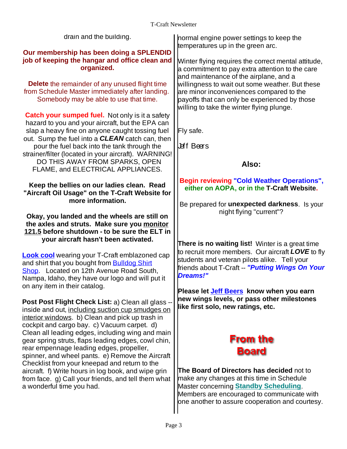| drain and the building.                                                                                    | normal engine power settings to keep the                 |
|------------------------------------------------------------------------------------------------------------|----------------------------------------------------------|
|                                                                                                            | temperatures up in the green arc.                        |
| Our membership has been doing a SPLENDID                                                                   |                                                          |
| job of keeping the hangar and office clean and                                                             | Minter flying requires the correct mental attitude,      |
| organized.                                                                                                 | a commitment to pay extra attention to the care          |
|                                                                                                            | and maintenance of the airplane, and a                   |
| <b>Delete</b> the remainder of any unused flight time                                                      | willingness to wait out some weather. But these          |
| from Schedule Master immediately after landing.                                                            | are minor inconveniences compared to the                 |
| Somebody may be able to use that time.                                                                     | payoffs that can only be experienced by those            |
|                                                                                                            | willing to take the winter flying plunge.                |
| <b>Catch your sumped fuel.</b> Not only is it a safety                                                     |                                                          |
| hazard to you and your aircraft, but the EPA can                                                           |                                                          |
| slap a heavy fine on anyone caught tossing fuel $\vert$ Fly safe.                                          |                                                          |
| out. Sump the fuel into a <b>CLEAN</b> catch can, then                                                     |                                                          |
| pour the fuel back into the tank through the                                                               | Leff Beers                                               |
| strainer/filter (located in your aircraft). WARNING!                                                       |                                                          |
| DO THIS AWAY FROM SPARKS, OPEN                                                                             | Also:                                                    |
| FLAME, and ELECTRICAL APPLIANCES.                                                                          |                                                          |
|                                                                                                            |                                                          |
| Keep the bellies on our ladies clean. Read                                                                 | <b>Begin reviewing "Cold Weather Operations",</b>        |
| "Aircraft Oil Usage" on the T-Craft Website for                                                            | either on AOPA, or in the T-Craft Website.               |
| more information.                                                                                          |                                                          |
|                                                                                                            | Be prepared for unexpected darkness. Is your             |
| Okay, you landed and the wheels are still on                                                               | night flying "current"?                                  |
| the axles and struts. Make sure you monitor                                                                |                                                          |
| 121.5 before shutdown - to be sure the ELT in                                                              |                                                          |
| your aircraft hasn't been activated.                                                                       |                                                          |
|                                                                                                            | <b>There is no waiting list!</b> Winter is a great time  |
| <b>Look cool</b> wearing your T-Craft emblazoned cap                                                       | to recruit more members. Our aircraft <b>LOVE</b> to fly |
| and shirt that you bought from <b>Bulldog Shirt</b>                                                        | students and veteran pilots alike. Tell your             |
| Shop. Located on 12th Avenue Road South,                                                                   | friends about T-Craft -- "Putting Wings On Your          |
| Nampa, Idaho, they have our logo and will put it                                                           | Dreams!"                                                 |
| on any item in their catalog.                                                                              |                                                          |
|                                                                                                            | Please let Jeff Beers know when you earn                 |
| Post Post Flight Check List: a) Clean all glass -                                                          | new wings levels, or pass other milestones               |
| inside and out, including suction cup smudges on                                                           | like first solo, new ratings, etc.                       |
| interior windows. b) Clean and pick up trash in                                                            |                                                          |
| cockpit and cargo bay. c) Vacuum carpet. d)                                                                |                                                          |
|                                                                                                            |                                                          |
| Clean all leading edges, including wing and main   <br>gear spring struts, flaps leading edges, cowl chin, | <b>From the</b>                                          |
| rear empennage leading edges, propeller,                                                                   |                                                          |
| spinner, and wheel pants. e) Remove the Aircraft                                                           | <b>Board</b>                                             |
| Checklist from your kneepad and return to the                                                              |                                                          |
| aircraft. f) Write hours in log book, and wipe grin                                                        | The Board of Directors has decided not to                |
| from face. g) Call your friends, and tell them what                                                        | make any changes at this time in Schedule                |
| a wonderful time you had.                                                                                  | Master concerning <b>Standby Scheduling</b> .            |
|                                                                                                            |                                                          |
|                                                                                                            | Members are encouraged to communicate with               |
|                                                                                                            | one another to assure cooperation and courtesy.          |
|                                                                                                            |                                                          |